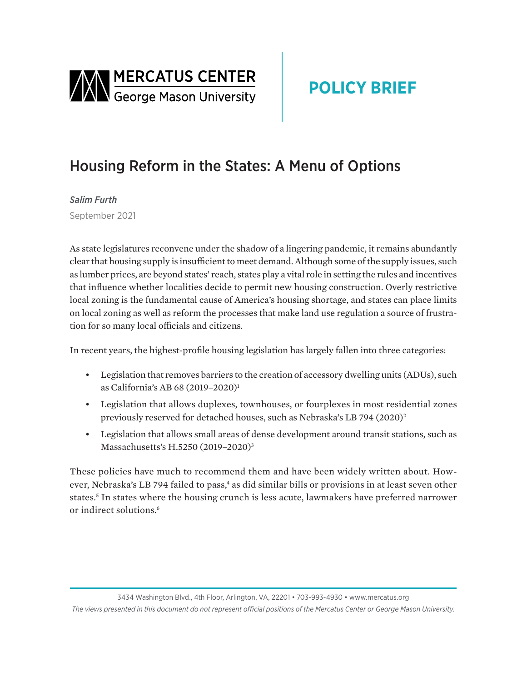<span id="page-0-0"></span>

# **POLICY BRIEF**

# Housing Reform in the States: A Menu of Options

*Salim Furth* September 2021

As state legislatures reconvene under the shadow of a lingering pandemic, it remains abundantly clear that housing supply is insufficient to meet demand. Although some of the supply issues, such as lumber prices, are beyond states' reach, states play a vital role in setting the rules and incentives that influence whether localities decide to permit new housing construction. Overly restrictive local zoning is the fundamental cause of America's housing shortage, and states can place limits on local zoning as well as reform the processes that make land use regulation a source of frustration for so many local officials and citizens.

In recent years, the highest-profile housing legislation has largely fallen into three categories:

- Legislation that removes barriers to the creation of accessory dwelling units (ADUs), such as California's AB 68 (2019–2020)[1](#page-5-0)
- Legislation that allows duplexes, townhouses, or fourplexes in most residential zones previously reserved for detached houses, such as Nebraska's LB 794 (2020)[2](#page-5-0)
- Legislation that allows small areas of dense development around transit stations, such as Massachusetts's H.5250 (2019–2020)[3](#page-5-0)

These policies have much to recommend them and have been widely written about. However, Nebraska's LB 794 failed to pass,<sup>4</sup> as did similar bills or provisions in at least seven other states.[5](#page-5-0) In states where the housing crunch is less acute, lawmakers have preferred narrower or indirect solutions.<sup>6</sup>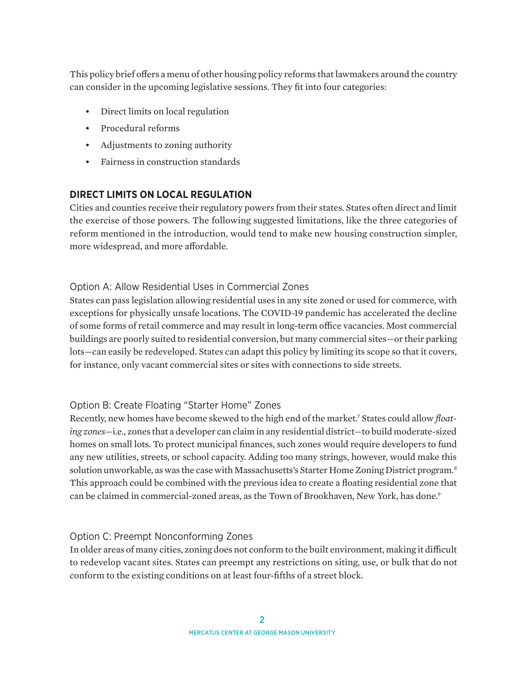<span id="page-1-0"></span>This policy brief offers a menu of other housing policy reforms that lawmakers around the country can consider in the upcoming legislative sessions. They fit into four categories:

- Direct limits on local regulation
- Procedural reforms
- Adjustments to zoning authority
- Fairness in construction standards

## **DIRECT LIMITS ON LOCAL REGULATION**

Cities and counties receive their regulatory powers from their states. States often direct and limit the exercise of those powers. The following suggested limitations, like the three categories of reform mentioned in the introduction, would tend to make new housing construction simpler, more widespread, and more affordable.

## Option A: Allow Residential Uses in Commercial Zones

States can pass legislation allowing residential uses in any site zoned or used for commerce, with exceptions for physically unsafe locations. The COVID-19 pandemic has accelerated the decline of some forms of retail commerce and may result in long-term office vacancies. Most commercial buildings are poorly suited to residential conversion, but many commercial sites—or their parking lots—can easily be redeveloped. States can adapt this policy by limiting its scope so that it covers, for instance, only vacant commercial sites or sites with connections to side streets.

## Option B: Create Floating "Starter Home" Zones

Recently, new homes have become skewed to the high end of the market[.7](#page-5-0) States could allow *floating zones*—i.e., zones that a developer can claim in any residential district—to build moderate-sized homes on small lots. To protect municipal finances, such zones would require developers to fund any new utilities, streets, or school capacity. Adding too many strings, however, would make this solution unworkable, as was the case with Massachusetts's Starter Home Zoning District program.<sup>[8](#page-5-0)</sup> This approach could be combined with the previous idea to create a floating residential zone that can be claimed in commercial-zoned areas, as the Town of Brookhaven, New York, has done.<sup>[9](#page-5-0)</sup>

## Option C: Preempt Nonconforming Zones

In older areas of many cities, zoning does not conform to the built environment, making it difficult to redevelop vacant sites. States can preempt any restrictions on siting, use, or bulk that do not conform to the existing conditions on at least four-fifths of a street block.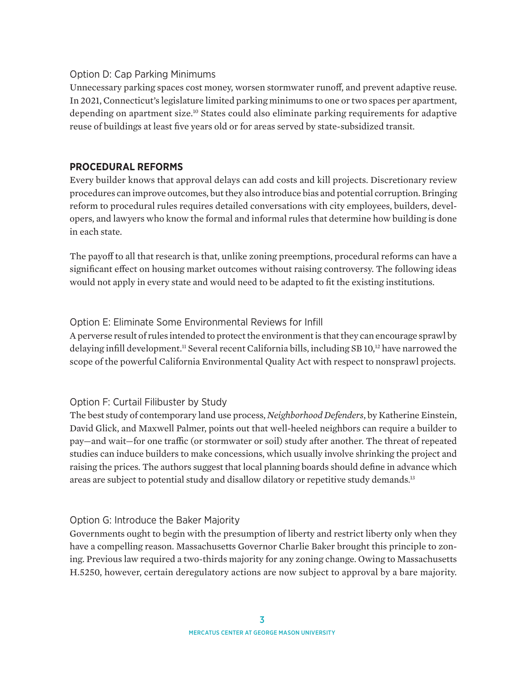## <span id="page-2-0"></span>Option D: Cap Parking Minimums

Unnecessary parking spaces cost money, worsen stormwater runoff, and prevent adaptive reuse. In 2021, Connecticut's legislature limited parking minimums to one or two spaces per apartment, depending on apartment size[.10](#page-5-0) States could also eliminate parking requirements for adaptive reuse of buildings at least five years old or for areas served by state-subsidized transit.

# **PROCEDURAL REFORMS**

Every builder knows that approval delays can add costs and kill projects. Discretionary review procedures can improve outcomes, but they also introduce bias and potential corruption. Bringing reform to procedural rules requires detailed conversations with city employees, builders, developers, and lawyers who know the formal and informal rules that determine how building is done in each state.

The payoff to all that research is that, unlike zoning preemptions, procedural reforms can have a significant effect on housing market outcomes without raising controversy. The following ideas would not apply in every state and would need to be adapted to fit the existing institutions.

## Option E: Eliminate Some Environmental Reviews for Infill

A perverse result of rules intended to protect the environment is that they can encourage sprawl by delaying infill development.<sup>11</sup> Several recent California bills, including SB 10,<sup>12</sup> have narrowed the scope of the powerful California Environmental Quality Act with respect to nonsprawl projects.

## Option F: Curtail Filibuster by Study

The best study of contemporary land use process, *Neighborhood Defenders*, by Katherine Einstein, David Glick, and Maxwell Palmer, points out that well-heeled neighbors can require a builder to pay—and wait—for one traffic (or stormwater or soil) study after another. The threat of repeated studies can induce builders to make concessions, which usually involve shrinking the project and raising the prices. The authors suggest that local planning boards should define in advance which areas are subject to potential study and disallow dilatory or repetitive study demands.<sup>[13](#page-5-0)</sup>

## Option G: Introduce the Baker Majority

Governments ought to begin with the presumption of liberty and restrict liberty only when they have a compelling reason. Massachusetts Governor Charlie Baker brought this principle to zoning. Previous law required a two-thirds majority for any zoning change. Owing to Massachusetts H.5250, however, certain deregulatory actions are now subject to approval by a bare majority.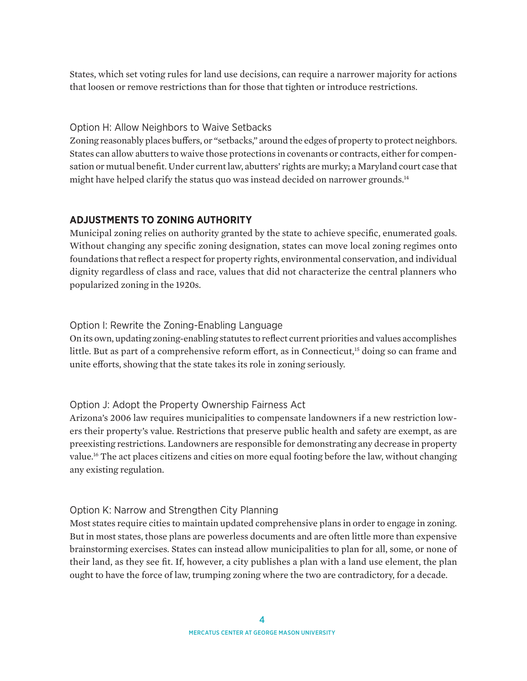<span id="page-3-0"></span>States, which set voting rules for land use decisions, can require a narrower majority for actions that loosen or remove restrictions than for those that tighten or introduce restrictions.

## Option H: Allow Neighbors to Waive Setbacks

Zoning reasonably places buffers, or "setbacks," around the edges of property to protect neighbors. States can allow abutters to waive those protections in covenants or contracts, either for compensation or mutual benefit. Under current law, abutters' rights are murky; a Maryland court case that might have helped clarify the status quo was instead decided on narrower grounds.<sup>[14](#page-5-0)</sup>

# **ADJUSTMENTS TO ZONING AUTHORITY**

Municipal zoning relies on authority granted by the state to achieve specific, enumerated goals. Without changing any specific zoning designation, states can move local zoning regimes onto foundations that reflect a respect for property rights, environmental conservation, and individual dignity regardless of class and race, values that did not characterize the central planners who popularized zoning in the 1920s.

## Option I: Rewrite the Zoning-Enabling Language

On its own, updating zoning-enabling statutes to reflect current priorities and values accomplishes little. But as part of a comprehensive reform effort, as in Connecticut,<sup>15</sup> doing so can frame and unite efforts, showing that the state takes its role in zoning seriously.

## Option J: Adopt the Property Ownership Fairness Act

Arizona's 2006 law requires municipalities to compensate landowners if a new restriction lowers their property's value. Restrictions that preserve public health and safety are exempt, as are preexisting restrictions. Landowners are responsible for demonstrating any decrease in property value.[16](#page-6-0) The act places citizens and cities on more equal footing before the law, without changing any existing regulation.

## Option K: Narrow and Strengthen City Planning

Most states require cities to maintain updated comprehensive plans in order to engage in zoning. But in most states, those plans are powerless documents and are often little more than expensive brainstorming exercises. States can instead allow municipalities to plan for all, some, or none of their land, as they see fit. If, however, a city publishes a plan with a land use element, the plan ought to have the force of law, trumping zoning where the two are contradictory, for a decade.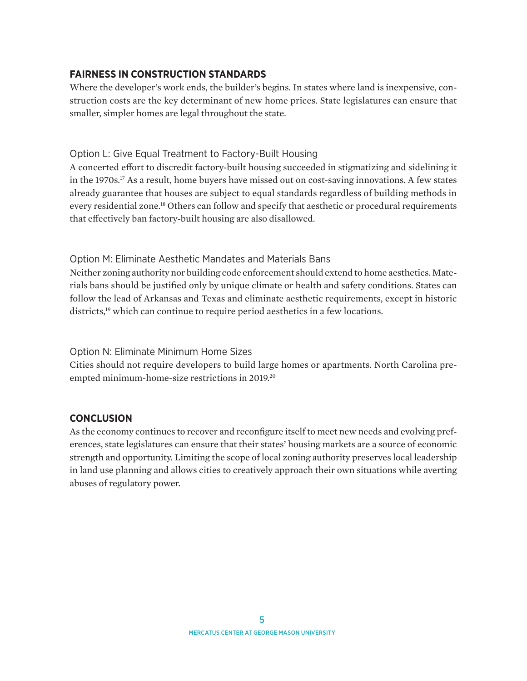## <span id="page-4-0"></span>**FAIRNESS IN CONSTRUCTION STANDARDS**

Where the developer's work ends, the builder's begins. In states where land is inexpensive, construction costs are the key determinant of new home prices. State legislatures can ensure that smaller, simpler homes are legal throughout the state.

### Option L: Give Equal Treatment to Factory-Built Housing

A concerted effort to discredit factory-built housing succeeded in stigmatizing and sidelining it in the 1970s.<sup>[17](#page-6-0)</sup> As a result, home buyers have missed out on cost-saving innovations. A few states already guarantee that houses are subject to equal standards regardless of building methods in every residential zone.[18](#page-6-0) Others can follow and specify that aesthetic or procedural requirements that effectively ban factory-built housing are also disallowed.

## Option M: Eliminate Aesthetic Mandates and Materials Bans

Neither zoning authority nor building code enforcement should extend to home aesthetics. Materials bans should be justified only by unique climate or health and safety conditions. States can follow the lead of Arkansas and Texas and eliminate aesthetic requirements, except in historic districts,<sup>19</sup> which can continue to require period aesthetics in a few locations.

### Option N: Eliminate Minimum Home Sizes

Cities should not require developers to build large homes or apartments. North Carolina preempted minimum-home-size restrictions in 2019[.20](#page-6-0)

## **CONCLUSION**

As the economy continues to recover and reconfigure itself to meet new needs and evolving preferences, state legislatures can ensure that their states' housing markets are a source of economic strength and opportunity. Limiting the scope of local zoning authority preserves local leadership in land use planning and allows cities to creatively approach their own situations while averting abuses of regulatory power.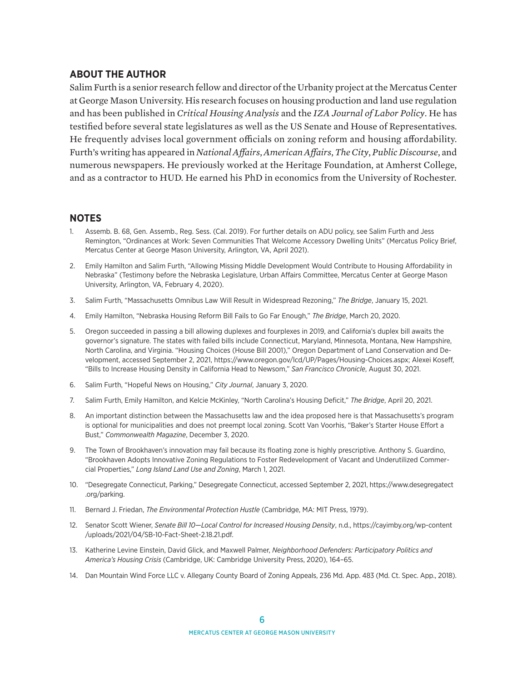#### <span id="page-5-0"></span>**ABOUT THE AUTHOR**

Salim Furth is a senior research fellow and director of the Urbanity project at the Mercatus Center at George Mason University. His research focuses on housing production and land use regulation and has been published in *Critical Housing Analysis* and the *IZA Journal of Labor Policy*. He has testified before several state legislatures as well as the US Senate and House of Representatives. He frequently advises local government officials on zoning reform and housing affordability. Furth's writing has appeared in *National Affairs*, *American Affairs*, *The City*, *Public Discourse*, and numerous newspapers. He previously worked at the Heritage Foundation, at Amherst College, and as a contractor to HUD. He earned his PhD in economics from the University of Rochester.

#### **NOTES**

- [1.](#page-0-0) Assemb. B. 68, Gen. Assemb., Reg. Sess. (Cal. 2019). For further details on ADU policy, see Salim Furth and Jess Remington, "Ordinances at Work: Seven Communities That Welcome Accessory Dwelling Units" (Mercatus Policy Brief, Mercatus Center at George Mason University, Arlington, VA, April 2021).
- [2](#page-0-0). Emily Hamilton and Salim Furth, "Allowing Missing Middle Development Would Contribute to Housing Affordability in Nebraska" (Testimony before the Nebraska Legislature, Urban Affairs Committee, Mercatus Center at George Mason University, Arlington, VA, February 4, 2020).
- [3](#page-0-0). Salim Furth, "Massachusetts Omnibus Law Will Result in Widespread Rezoning," *The Bridge*, January 15, 2021.
- [4.](#page-0-0) Emily Hamilton, "Nebraska Housing Reform Bill Fails to Go Far Enough," *The Bridge*, March 20, 2020.
- [5](#page-0-0). Oregon succeeded in passing a bill allowing duplexes and fourplexes in 2019, and California's duplex bill awaits the governor's signature. The states with failed bills include Connecticut, Maryland, Minnesota, Montana, New Hampshire, North Carolina, and Virginia. "Housing Choices (House Bill 2001)," Oregon Department of Land Conservation and Development, accessed September 2, 2021, [https://www.oregon.gov/lcd/UP/Pages/Housing-Choices.aspx;](https://www.oregon.gov/lcd/UP/Pages/Housing-Choices.aspx) Alexei Koseff, "Bills to Increase Housing Density in California Head to Newsom," *San Francisco Chronicle*, August 30, 2021.
- [6.](#page-0-0) Salim Furth, "Hopeful News on Housing," *City Journal*, January 3, 2020.
- [7.](#page-1-0) Salim Furth, Emily Hamilton, and Kelcie McKinley, "North Carolina's Housing Deficit," *The Bridge*, April 20, 2021.
- [8.](#page-1-0) An important distinction between the Massachusetts law and the idea proposed here is that Massachusetts's program is optional for municipalities and does not preempt local zoning. Scott Van Voorhis, "Baker's Starter House Effort a Bust," *Commonwealth Magazine*, December 3, 2020.
- [9.](#page-1-0) The Town of Brookhaven's innovation may fail because its floating zone is highly prescriptive. Anthony S. Guardino, "Brookhaven Adopts Innovative Zoning Regulations to Foster Redevelopment of Vacant and Underutilized Commercial Properties," *Long Island Land Use and Zoning*, March 1, 2021.
- [10.](#page-2-0) "Desegregate Connecticut, Parking," Desegregate Connecticut, accessed September 2, 2021, [https://www.desegregatect](https://www.desegregatect.org/parking) [.org/parking](https://www.desegregatect.org/parking).
- [11](#page-2-0). Bernard J. Friedan, *The Environmental Protection Hustle* (Cambridge, MA: MIT Press, 1979).
- [12](#page-2-0). Senator Scott Wiener, *Senate Bill 10—Local Control for Increased Housing Density*, n.d., [https://cayimby.org/wp-content](https://cayimby.org/wp-content/uploads/2021/04/SB-10-Fact-Sheet-2.18.21.pdf) [/uploads/2021/04/SB-10-Fact-Sheet-2.18.21.pdf.](https://cayimby.org/wp-content/uploads/2021/04/SB-10-Fact-Sheet-2.18.21.pdf)
- [13](#page-2-0). Katherine Levine Einstein, David Glick, and Maxwell Palmer, *Neighborhood Defenders: Participatory Politics and America's Housing Crisis* (Cambridge, UK: Cambridge University Press, 2020), 164–65.
- [14.](#page-3-0) Dan Mountain Wind Force LLC v. Allegany County Board of Zoning Appeals, 236 Md. App. 483 (Md. Ct. Spec. App., 2018).